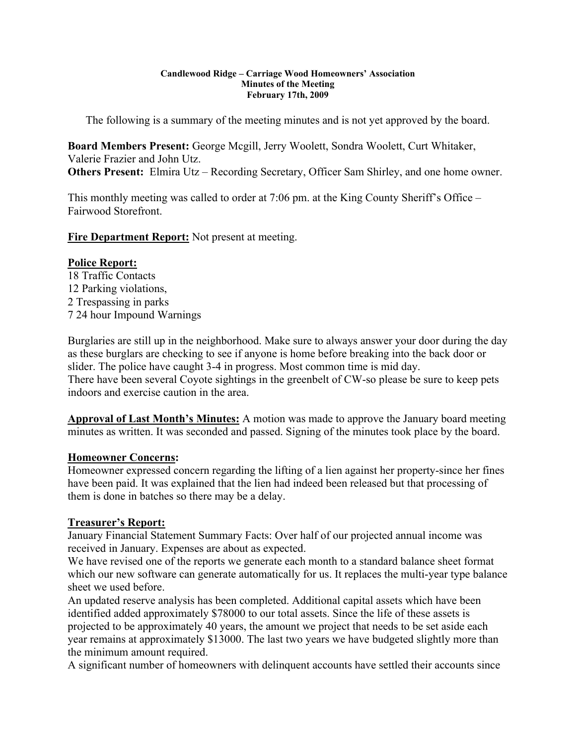#### **Candlewood Ridge – Carriage Wood Homeowners' Association Minutes of the Meeting February 17th, 2009**

The following is a summary of the meeting minutes and is not yet approved by the board.

**Board Members Present:** George Mcgill, Jerry Woolett, Sondra Woolett, Curt Whitaker, Valerie Frazier and John Utz. **Others Present:** Elmira Utz – Recording Secretary, Officer Sam Shirley, and one home owner.

This monthly meeting was called to order at 7:06 pm. at the King County Sheriff's Office – Fairwood Storefront.

**Fire Department Report:** Not present at meeting.

#### **Police Report:**

18 Traffic Contacts 12 Parking violations, 2 Trespassing in parks 7 24 hour Impound Warnings

Burglaries are still up in the neighborhood. Make sure to always answer your door during the day as these burglars are checking to see if anyone is home before breaking into the back door or slider. The police have caught 3-4 in progress. Most common time is mid day. There have been several Coyote sightings in the greenbelt of CW-so please be sure to keep pets indoors and exercise caution in the area.

**Approval of Last Month's Minutes:** A motion was made to approve the January board meeting minutes as written. It was seconded and passed. Signing of the minutes took place by the board.

#### **Homeowner Concerns:**

Homeowner expressed concern regarding the lifting of a lien against her property-since her fines have been paid. It was explained that the lien had indeed been released but that processing of them is done in batches so there may be a delay.

### **Treasurer's Report:**

January Financial Statement Summary Facts: Over half of our projected annual income was received in January. Expenses are about as expected.

We have revised one of the reports we generate each month to a standard balance sheet format which our new software can generate automatically for us. It replaces the multi-year type balance sheet we used before.

An updated reserve analysis has been completed. Additional capital assets which have been identified added approximately \$78000 to our total assets. Since the life of these assets is projected to be approximately 40 years, the amount we project that needs to be set aside each year remains at approximately \$13000. The last two years we have budgeted slightly more than the minimum amount required.

A significant number of homeowners with delinquent accounts have settled their accounts since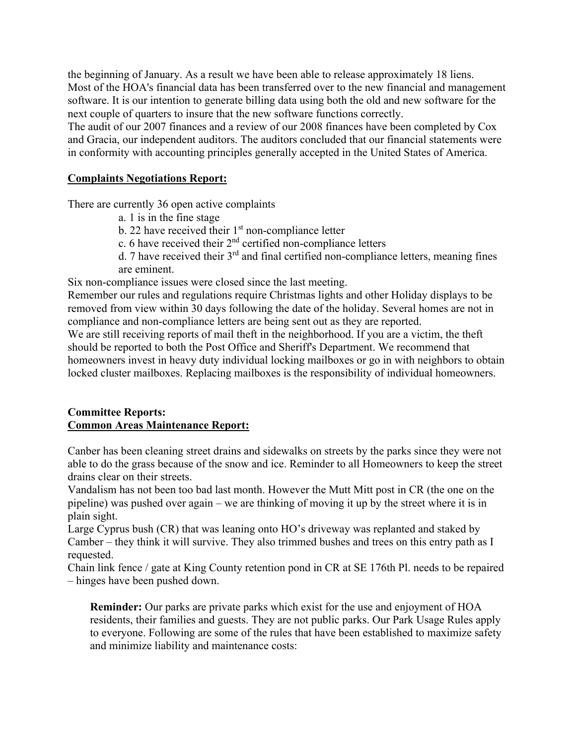the beginning of January. As a result we have been able to release approximately 18 liens. Most of the HOA's financial data has been transferred over to the new financial and management software. It is our intention to generate billing data using both the old and new software for the next couple of quarters to insure that the new software functions correctly.

The audit of our 2007 finances and a review of our 2008 finances have been completed by Cox and Gracia, our independent auditors. The auditors concluded that our financial statements were in conformity with accounting principles generally accepted in the United States of America.

#### **Complaints Negotiations Report:**

There are currently 36 open active complaints

- a. 1 is in the fine stage
- b. 22 have received their  $1<sup>st</sup>$  non-compliance letter
- c. 6 have received their  $2<sup>nd</sup>$  certified non-compliance letters
- d. 7 have received their  $3<sup>rd</sup>$  and final certified non-compliance letters, meaning fines are eminent.

Six non-compliance issues were closed since the last meeting.

Remember our rules and regulations require Christmas lights and other Holiday displays to be removed from view within 30 days following the date of the holiday. Several homes are not in compliance and non-compliance letters are being sent out as they are reported.

We are still receiving reports of mail theft in the neighborhood. If you are a victim, the theft should be reported to both the Post Office and Sheriff's Department. We recommend that homeowners invest in heavy duty individual locking mailboxes or go in with neighbors to obtain locked cluster mailboxes. Replacing mailboxes is the responsibility of individual homeowners.

### **Committee Reports: Common Areas Maintenance Report:**

Canber has been cleaning street drains and sidewalks on streets by the parks since they were not able to do the grass because of the snow and ice. Reminder to all Homeowners to keep the street drains clear on their streets.

Vandalism has not been too bad last month. However the Mutt Mitt post in CR (the one on the pipeline) was pushed over again – we are thinking of moving it up by the street where it is in plain sight.

Large Cyprus bush (CR) that was leaning onto HO's driveway was replanted and staked by Camber – they think it will survive. They also trimmed bushes and trees on this entry path as I requested.

Chain link fence / gate at King County retention pond in CR at SE 176th Pl. needs to be repaired – hinges have been pushed down.

**Reminder:** Our parks are private parks which exist for the use and enjoyment of HOA residents, their families and guests. They are not public parks. Our Park Usage Rules apply to everyone. Following are some of the rules that have been established to maximize safety and minimize liability and maintenance costs: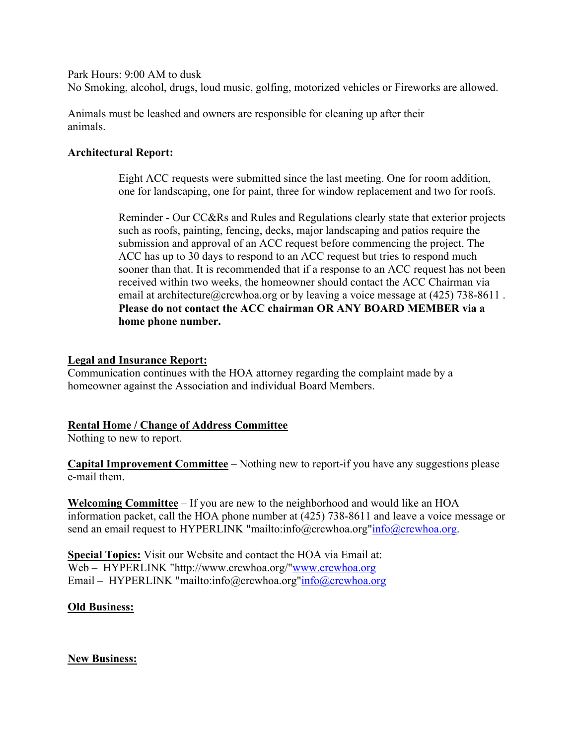Park Hours: 9:00 AM to dusk

No Smoking, alcohol, drugs, loud music, golfing, motorized vehicles or Fireworks are allowed.

Animals must be leashed and owners are responsible for cleaning up after their animals.

#### **Architectural Report:**

Eight ACC requests were submitted since the last meeting. One for room addition, one for landscaping, one for paint, three for window replacement and two for roofs.

Reminder - Our CC&Rs and Rules and Regulations clearly state that exterior projects such as roofs, painting, fencing, decks, major landscaping and patios require the submission and approval of an ACC request before commencing the project. The ACC has up to 30 days to respond to an ACC request but tries to respond much sooner than that. It is recommended that if a response to an ACC request has not been received within two weeks, the homeowner should contact the ACC Chairman via email at architecture ( $\hat{\omega}$ crcwhoa.org or by leaving a voice message at (425) 738-8611. **Please do not contact the ACC chairman OR ANY BOARD MEMBER via a home phone number.**

#### **Legal and Insurance Report:**

Communication continues with the HOA attorney regarding the complaint made by a homeowner against the Association and individual Board Members.

### **Rental Home / Change of Address Committee**

Nothing to new to report.

**Capital Improvement Committee** – Nothing new to report-if you have any suggestions please e-mail them.

**Welcoming Committee** – If you are new to the neighborhood and would like an HOA information packet, call the HOA phone number at (425) 738-8611 and leave a voice message or send an email request to HYPERLINK "mailto:info@crcwhoa.org"info@crcwhoa.org.

**Special Topics:** Visit our Website and contact the HOA via Email at: Web – HYPERLINK "http://www.crcwhoa.org/"www.crcwhoa.org Email – HYPERLINK "mailto:info@crcwhoa.org"info@crcwhoa.org

#### **Old Business:**

#### **New Business:**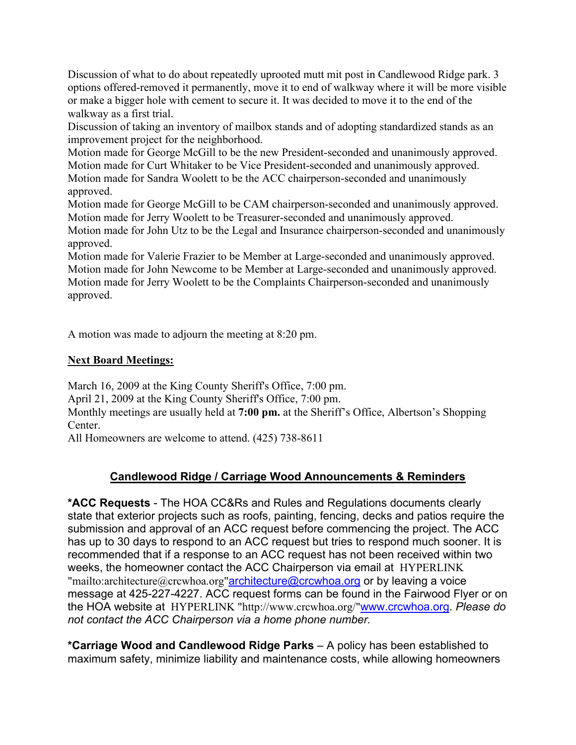Discussion of what to do about repeatedly uprooted mutt mit post in Candlewood Ridge park. 3 options offered-removed it permanently, move it to end of walkway where it will be more visible or make a bigger hole with cement to secure it. It was decided to move it to the end of the walkway as a first trial.

Discussion of taking an inventory of mailbox stands and of adopting standardized stands as an improvement project for the neighborhood.

Motion made for George McGill to be the new President-seconded and unanimously approved. Motion made for Curt Whitaker to be Vice President-seconded and unanimously approved. Motion made for Sandra Woolett to be the ACC chairperson-seconded and unanimously approved.

Motion made for George McGill to be CAM chairperson-seconded and unanimously approved. Motion made for Jerry Woolett to be Treasurer-seconded and unanimously approved. Motion made for John Utz to be the Legal and Insurance chairperson-seconded and unanimously approved.

Motion made for Valerie Frazier to be Member at Large-seconded and unanimously approved. Motion made for John Newcome to be Member at Large-seconded and unanimously approved. Motion made for Jerry Woolett to be the Complaints Chairperson-seconded and unanimously approved.

A motion was made to adjourn the meeting at 8:20 pm.

# **Next Board Meetings:**

March 16, 2009 at the King County Sheriff's Office, 7:00 pm.

April 21, 2009 at the King County Sheriff's Office, 7:00 pm.

Monthly meetings are usually held at **7:00 pm.** at the Sheriff's Office, Albertson's Shopping Center.

All Homeowners are welcome to attend. (425) 738-8611

# **Candlewood Ridge / Carriage Wood Announcements & Reminders**

**\*ACC Requests** - The HOA CC&Rs and Rules and Regulations documents clearly state that exterior projects such as roofs, painting, fencing, decks and patios require the submission and approval of an ACC request before commencing the project. The ACC has up to 30 days to respond to an ACC request but tries to respond much sooner. It is recommended that if a response to an ACC request has not been received within two weeks, the homeowner contact the ACC Chairperson via email at HYPERLINK "mailto:architecture@crcwhoa.org"architecture@crcwhoa.org or by leaving a voice message at 425-227-4227. ACC request forms can be found in the Fairwood Flyer or on the HOA website at HYPERLINK "http://www.crcwhoa.org/"www.crcwhoa.org. *Please do not contact the ACC Chairperson via a home phone number.*

**\*Carriage Wood and Candlewood Ridge Parks** – A policy has been established to maximum safety, minimize liability and maintenance costs, while allowing homeowners